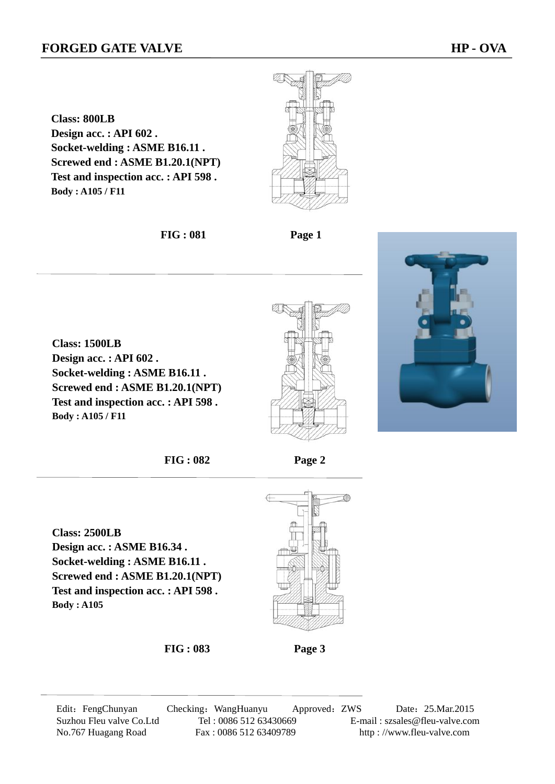**Class: 1500LB** 

**Body : A105 / F11**

**Class: 800LB Design acc. : API 602 . Socket-welding : ASME B16.11 . Screwed end : ASME B1.20.1(NPT) Test and inspection acc. : API 598 . Body : A105 / F11**



**FIG : 081 Page 1** 





**FIG : 082 Page 2** 

**Class: 2500LB Design acc. : ASME B16.34 . Socket-welding : ASME B16.11 . Screwed end : ASME B1.20.1(NPT) Test and inspection acc. : API 598 . Body : A105** 



**FIG : 083 Page 3** 

Edit: FengChunyan Checking: WangHuanyu Approved: ZWS Date: 25.Mar.2015 Suzhou Fleu valve Co.Ltd Tel : 0086 512 63430669 E-mail : szsales@fleu-valve.com No.767 Huagang Road Fax : 0086 512 63409789 http : //www.fleu-valve.com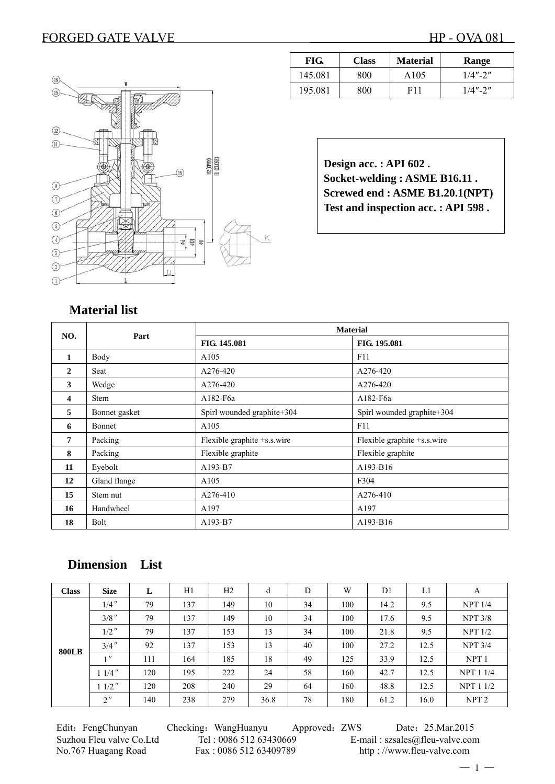

| FIG.    | <b>Class</b> | <b>Material</b> | Range       |
|---------|--------------|-----------------|-------------|
| 145.081 | 800          | A105            | $1/4" - 2"$ |
| 195.081 | 800          | F11             | $1/4" - 2"$ |

**Design acc. : API 602 . Socket-welding : ASME B16.11 . Screwed end : ASME B1.20.1(NPT) Test and inspection acc. : API 598 .** 

# **Material list**

| NO.            | Part          |                             | <b>Material</b>             |
|----------------|---------------|-----------------------------|-----------------------------|
|                |               | FIG. 145.081                | FIG. 195.081                |
| 1              | Body          | A105                        | F11                         |
| $\mathbf{2}$   | Seat          | A276-420                    | A276-420                    |
| 3              | Wedge         | A276-420                    | A276-420                    |
| 4              | <b>Stem</b>   | A182-F6a                    | A182-F6a                    |
| 5              | Bonnet gasket | Spirl wounded graphite+304  | Spirl wounded graphite+304  |
| 6              | Bonnet        | A105                        | F11                         |
| $\overline{7}$ | Packing       | Flexible graphite +s.s.wire | Flexible graphite +s.s.wire |
| 8              | Packing       | Flexible graphite           | Flexible graphite           |
| 11             | Eyebolt       | A193-B7                     | A193-B16                    |
| 12             | Gland flange  | A105                        | F304                        |
| 15             | Stem nut      | A276-410                    | A276-410                    |
| 16             | Handwheel     | A197                        | A197                        |
| 18             | <b>Bolt</b>   | A193-B7                     | A193-B16                    |

# **Dimension List**

| <b>Class</b> | <b>Size</b>       | L   | H1  | H2  | d    | D  | W   | D <sub>1</sub> | L1   | A                |
|--------------|-------------------|-----|-----|-----|------|----|-----|----------------|------|------------------|
|              | $1/4$ "           | 79  | 137 | 149 | 10   | 34 | 100 | 14.2           | 9.5  | NPT 1/4          |
|              | $3/8$ "           | 79  | 137 | 149 | 10   | 34 | 100 | 17.6           | 9.5  | <b>NPT 3/8</b>   |
|              | $1/2$ "           | 79  | 137 | 153 | 13   | 34 | 100 | 21.8           | 9.5  | NPT 1/2          |
| <b>800LB</b> | $3/4$ "           | 92  | 137 | 153 | 13   | 40 | 100 | 27.2           | 12.5 | NPT 3/4          |
|              | $^{\prime\prime}$ | 111 | 164 | 185 | 18   | 49 | 125 | 33.9           | 12.5 | NPT <sub>1</sub> |
|              | $11/4$ "          | 120 | 195 | 222 | 24   | 58 | 160 | 42.7           | 12.5 | <b>NPT 1 1/4</b> |
|              | $11/2$ "          | 120 | 208 | 240 | 29   | 64 | 160 | 48.8           | 12.5 | <b>NPT 1 1/2</b> |
|              | 2''               | 140 | 238 | 279 | 36.8 | 78 | 180 | 61.2           | 16.0 | NPT <sub>2</sub> |

No.767 Huagang Road Fax : 0086 512 63409789 http : //www.fleu-valve.com

Edit: FengChunyan Checking: WangHuanyu Approved: ZWS Date: 25.Mar.2015 Suzhou Fleu valve Co.Ltd Tel : 0086 512 63430669 E-mail : szsales@fleu-valve.com

 $-1-$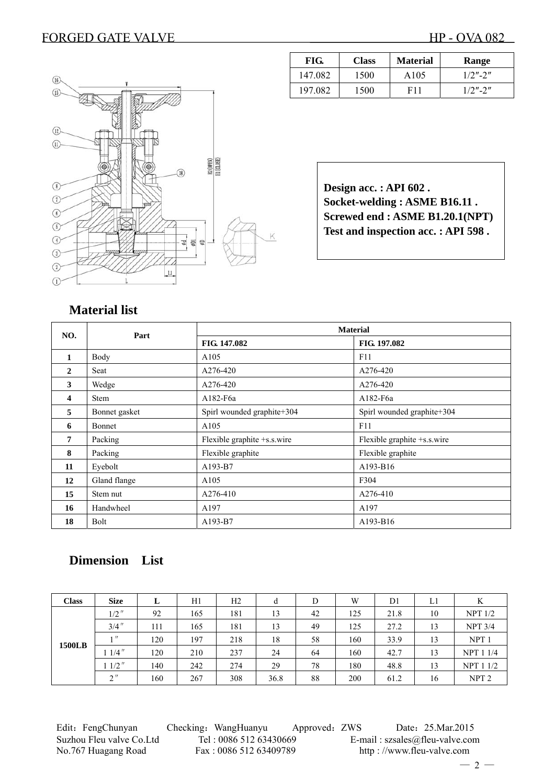

| FIG.    | <b>Class</b> | <b>Material</b> | Range      |
|---------|--------------|-----------------|------------|
| 147.082 | 1500         | A105            | $1/2$ "-2" |
| 197 082 | 1500         | F11             | $1/2$ "-2" |

| Design acc.: API 602.              |
|------------------------------------|
| Socket-welding: ASME B16.11.       |
| Screwed end : ASME B1.20.1(NPT)    |
| Test and inspection acc.: API 598. |

# **Material list**

| NO.            | Part          |                             | <b>Material</b>             |  |  |  |
|----------------|---------------|-----------------------------|-----------------------------|--|--|--|
|                |               | FIG. 147.082                | FIG. 197.082                |  |  |  |
| 1              | Body          | A105                        | F11                         |  |  |  |
| $\mathbf{2}$   | Seat          | A276-420                    | A276-420                    |  |  |  |
| 3              | Wedge         | A276-420                    | A276-420                    |  |  |  |
| 4              | <b>Stem</b>   | A182-F6a                    | A182-F6a                    |  |  |  |
| 5              | Bonnet gasket | Spirl wounded graphite+304  | Spirl wounded graphite+304  |  |  |  |
| 6              | <b>Bonnet</b> | A105                        | F11                         |  |  |  |
| $\overline{7}$ | Packing       | Flexible graphite +s.s.wire | Flexible graphite +s.s.wire |  |  |  |
| 8              | Packing       | Flexible graphite           | Flexible graphite           |  |  |  |
| 11             | Eyebolt       | A193-B7                     | A193-B16                    |  |  |  |
| 12             | Gland flange  | A105                        | F304                        |  |  |  |
| 15             | Stem nut      | A276-410                    | A276-410                    |  |  |  |
| 16             | Handwheel     | A197                        | A197                        |  |  |  |
| 18             | Bolt          | A193-B7                     | A193-B16                    |  |  |  |

# **Dimension List**

| <b>Class</b>  | <b>Size</b> | L   | H1  | H <sub>2</sub> | d    | D  | W   | D <sub>1</sub> | L1 | K                |
|---------------|-------------|-----|-----|----------------|------|----|-----|----------------|----|------------------|
|               | $1/2$ "     | 92  | 165 | 181            | 13   | 42 | 125 | 21.8           | 10 | $NPT$ $1/2$      |
|               | $3/4$ "     | 111 | 165 | 181            | 13   | 49 | 125 | 27.2           | 13 | <b>NPT 3/4</b>   |
| <b>1500LB</b> | 1           | 120 | 197 | 218            | 18   | 58 | 160 | 33.9           | 13 | NPT <sub>1</sub> |
|               | $1/4$ "     | 120 | 210 | 237            | 24   | 64 | 160 | 42.7           | 13 | <b>NPT 1 1/4</b> |
|               | $11/2$ "    | 140 | 242 | 274            | 29   | 78 | 180 | 48.8           | 13 | <b>NPT 1 1/2</b> |
|               | $2$ "       | 160 | 267 | 308            | 36.8 | 88 | 200 | 61.2           | 16 | NPT <sub>2</sub> |

Edit: FengChunyan Checking: WangHuanyu Approved: ZWS Date: 25.Mar.2015 Suzhou Fleu valve Co.Ltd Tel : 0086 512 63430669 E-mail : szsales@fleu-valve.com No.767 Huagang Road Fax : 0086 512 63409789 http : //www.fleu-valve.com